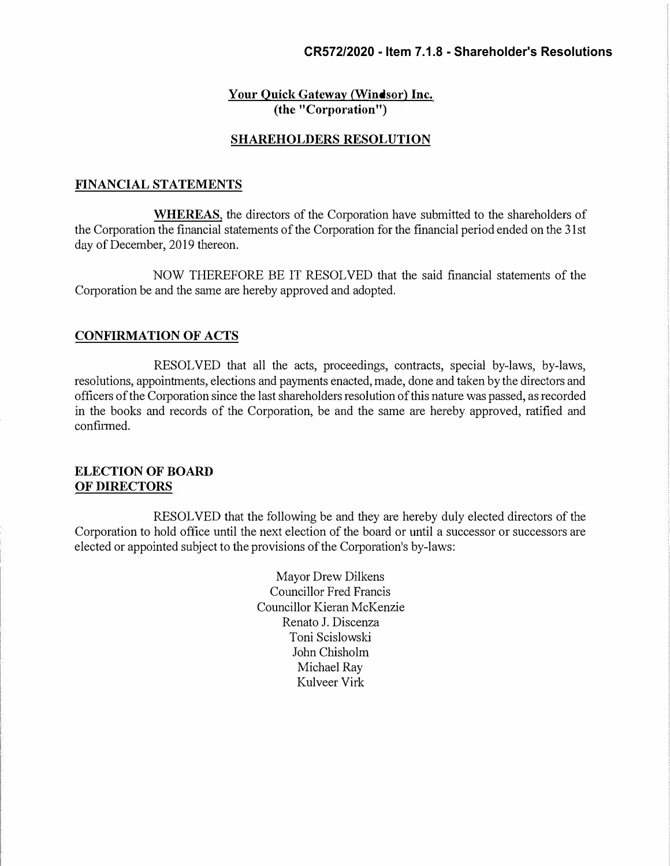### **CR572/2020 - Item 7.1.8 - Shareholder's Resolutions**

### **Your Quick Gateway (Windsor) Inc. ( the "Corporation")**

### **SHAREHOLDERS RESOLUTION**

#### **FINANCIAL STATEMENTS**

**WHEREAS**, the directors of the Corporation have submitted to the shareholders of the Corporation the financial statements of the Corporation for the financial period ended on the 31st day of December, 2019 thereon.

NOW THEREFORE BE IT RESOLVED that the said financial statements of the Corporation be and the same are hereby approved and adopted.

#### **CONFIRMATION OF ACTS**

RESOLVED that all the acts, proceedings, contracts, special by-laws, by-laws, resolutions, appointments, elections and payments enacted, made, done and taken by the directors and officers of the Corporation since the last shareholders resolution of this nature was passed, as recorded in the books and records of the Corporation, be and the same are hereby approved, ratified and confirmed.

### **ELECTION OF BOARD OF DIRECTORS**

RESOLVED that the following be and they are hereby duly elected directors of the Corporation to hold office until the next election of the board or until a successor or successors are elected or appointed subject to the provisions of the Corporation's by-laws:

> Mayor Drew Dilkens Councillor Fred Francis Councillor Kieran McKenzie Renato J. Discenza Toni Scislowski John Chisholm Michael Ray Kulveer Virk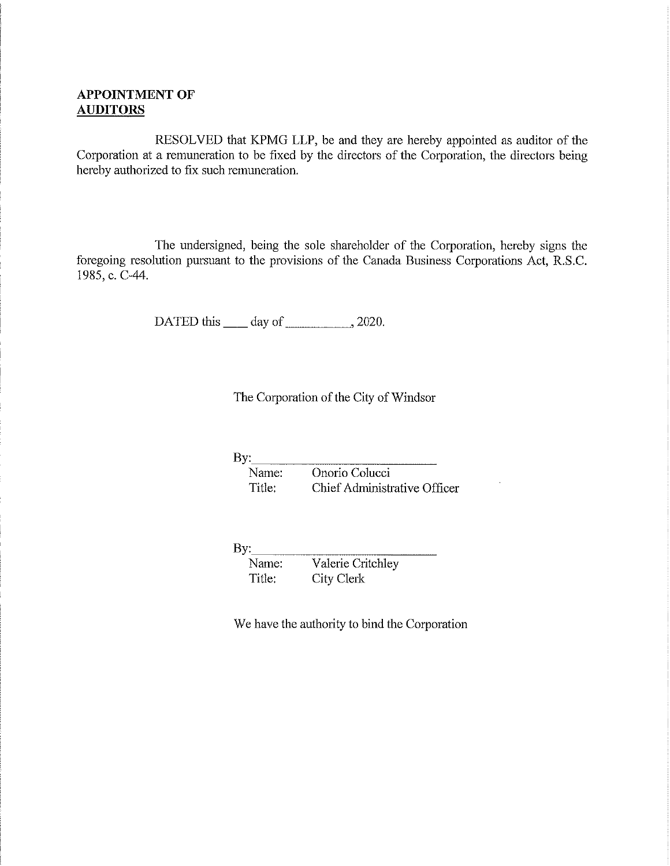### APPOINTMENT OF AUDITORS

RESOLVED that KPMG LLP, be and they are hereby appointed as auditor of the Corporation at a remuneration to be fixed by the directors of the Corporation, the directors being hereby authorized to fix such remuneration.

The undersigned, being the sole shareholder of the Corporation, hereby signs the foregoing resolution pursuant to the provisions of the Canada Business Corporations Act, R.S.C. 1985,c.C-44.

DATED this  $\_\_\_$  day of  $\_\_\_\_\_$ , 2020.

The Corporation of the City of Windsor

By: Name: Onorio Colucci Title: Chief Administrative Officer

By: Name: Valerie Critchley Title: City Clerk

We have the authority to bind the Corporation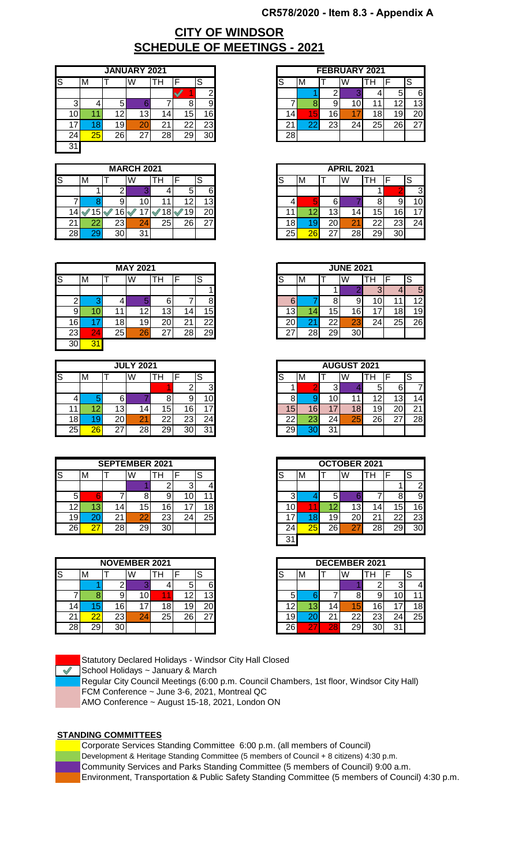### **CR578/2020 - Item 8.3 - Appendix A**

# **SCHEDULE OF MEETINGS - 2021 CITY OF WINDSOR**

|        |    |         | <b>JANUARY 2021</b> |    |    |    |
|--------|----|---------|---------------------|----|----|----|
| ls     | ΙM |         | W                   | Ή  |    | S  |
|        |    |         |                     |    |    | ⌒  |
| ⌒<br>C |    | 5       |                     |    | о  | 9  |
| .O'    |    | $^{12}$ | 13                  | 4  | 15 | 16 |
|        | 8  | 19      | 20                  | n. | 22 | 23 |
| 24.    | 25 | 26      | 27                  | 28 | 29 | 30 |
| 31     |    |         |                     |    |    |    |

|    |     |    |     | <b>MARCH 2021</b> |    |                   |                 |
|----|-----|----|-----|-------------------|----|-------------------|-----------------|
| IS |     | M  |     | W                 | п  |                   | ົ<br>c          |
|    |     |    |     |                   |    | 5                 | 6               |
|    |     |    | 9   |                   |    | $10^{\circ}$<br>∠ | 13 <sub>l</sub> |
|    |     | э  |     |                   |    | .9                | 20              |
|    | ∠ । | 22 | 23I | 24                | 25 | 26                | 27              |
|    | 28  | 29 | 30  | 31                |    |                   |                 |

|    |    |     | <b>MAY 2021</b> |          |         |                 |
|----|----|-----|-----------------|----------|---------|-----------------|
| ß  | M  |     | W               | н        |         | S               |
|    |    |     |                 |          |         |                 |
| ⌒  |    |     |                 |          |         | Ω               |
| 9  |    |     | 12              | د        | 4       | 15 <sub>l</sub> |
| 16 |    | 18. | 19              | or<br>ΖU | n,<br>∠ | 22              |
| 23 | 24 | 25  | 26              |          | 28      | 29              |
| 30 | 31 |     |                 |          |         |                 |

|    | <b>JULY 2021</b> |                 |                |    |                 |                 |
|----|------------------|-----------------|----------------|----|-----------------|-----------------|
| ls | M                |                 | W              | п  |                 | S               |
|    |                  |                 |                |    |                 | ົ               |
|    |                  | 61              |                |    | 9               |                 |
|    | 1 C              | 13              | 14.            | 5  | 16              | $\overline{7}$  |
| 18 | ч                | 20 <sub>l</sub> | 2 <sup>1</sup> | ົ  | 23              | 24 <sub>1</sub> |
| 25 | 26               | っァ              | 28             | 29 | 30 <sub>1</sub> | 31              |

|     |    |         | <b>SEPTEMBER 2021</b> |           |         |                         |
|-----|----|---------|-----------------------|-----------|---------|-------------------------|
| lS  | M  |         | W                     | Ή         |         | c<br>ت                  |
|     |    |         |                       |           | ◠<br>s. |                         |
| 5   |    |         |                       |           | 0       | $\overline{\mathbf{1}}$ |
| 2   | 13 | 14,     | 15                    | 16        | ⇁       | 18                      |
| 19l | 20 | n<br>21 | 22                    | ົດ<br>ا ک | 24      | 25                      |
| 26  | 27 | 28      | 29                    | ົ         |         |                         |

|    |    |                 | <b>NOVEMBER 2021</b> |    |    |                 |
|----|----|-----------------|----------------------|----|----|-----------------|
| lS | M  |                 | W                    | Ħ  |    | ົ<br>ت          |
|    |    |                 |                      |    | b  | 6               |
|    |    | 9               | ١U                   |    | י  | 13              |
| 4  | ю  | 16 <sub>1</sub> |                      | ŏ  | 19 | 20 <sub>l</sub> |
|    | 22 | 23I             | 24                   | 25 | 26 | 27<br>__        |
| 28 | 29 | 30              |                      |    |    |                 |

Statutory Declared Holidays - Windsor City Hall Closed

 $\triangleleft$  School Holidays ~ January & March

Regular City Council Meetings (6:00 p.m. Council Chambers, 1st floor, Windsor City Hall) FCM Conference ~ June 3-6, 2021, Montreal QC

AMO Conference ~ August 15-18, 2021, London ON

### **STANDING COMMITTEES**



Development & Heritage Standing Committee (5 members of Council + 8 citizens) 4:30 p.m.

Community Services and Parks Standing Committee (5 members of Council) 9:00 a.m.

Environment, Transportation & Public Safety Standing Committee (5 members of Council) 4:30 p.m.

|    |    |        | <b>JANUARY 2021</b> |     |          |    |
|----|----|--------|---------------------|-----|----------|----|
|    | M  |        | W                   | TН  | ⊏        |    |
|    |    |        |                     |     |          |    |
| ◠  |    | ∽<br>ື |                     |     |          | 9  |
| 10 |    | 12     | 13                  | 14. | ī5.      | 16 |
| 17 |    | 19     | 20                  | 21  | ົ<br>∠∠  | 23 |
| 24 | 25 | 26     | ົ                   | 28  | ററ<br>∠≍ | 30 |

|    |    |    | <b>MARCH 2021</b> |    |     |        |
|----|----|----|-------------------|----|-----|--------|
|    | M  |    | W                 | Тh |     | S      |
|    |    |    |                   |    |     | 6      |
|    |    |    |                   |    |     | 13     |
| 14 | 51 | 6  |                   |    | י9י | 20     |
| 21 |    | 23 | 24                | 25 | 26  | $\sim$ |
| 28 |    | 30 | <b>O</b> 4<br>ື   |    |     |        |

|    | <b>MAY 2021</b>          |     |                 |    |                |    |
|----|--------------------------|-----|-----------------|----|----------------|----|
|    | M                        |     | W               | TН | -              | S  |
|    |                          |     |                 |    |                |    |
| ີ  |                          |     |                 |    |                |    |
|    |                          | 11. | $\sim$          | 13 |                | 5  |
| 16 |                          | 18I | 19 <sub>1</sub> | 20 | n,<br><u>L</u> | つつ |
| 23 | $\mathbf{\hat{}}$<br>- 4 | 25  | 26              | 27 | ററ             | 29 |

|                                           | <b>JULY 2021</b> |                 |    |         |                 | <b>AUGUST 2021</b> |        |          |
|-------------------------------------------|------------------|-----------------|----|---------|-----------------|--------------------|--------|----------|
|                                           | W<br>тн          | c<br>১          | S  | M       |                 | W                  | . .    |          |
|                                           |                  | ົ<br>ື          |    |         |                 |                    |        |          |
|                                           |                  | 10 <sub>1</sub> |    |         |                 | 11                 | c<br>л | 13       |
| 13<br>15<br>4                             |                  | 6               | 15 | 6       |                 | 18                 | 19,    | n,<br>∠⊾ |
| 20 <sub>l</sub><br>22<br>ົດຕ<br>ںے        |                  | 241             | 22 | o<br>23 | 24 <sub>1</sub> | 25                 | 26     | ົ        |
| 27<br>29<br>28<br>$\mathbf{a}$<br>30<br>ື |                  |                 | 29 |         | C.<br>ື         |                    |        |          |

|    | <b>SEPTEMBER 2021</b> |                 |                 |     |                   |    |
|----|-----------------------|-----------------|-----------------|-----|-------------------|----|
|    | 'M                    |                 | W               | Ħ   |                   | S  |
|    |                       |                 |                 |     |                   |    |
| 5  |                       |                 |                 |     |                   |    |
| 12 |                       | 14 <sub>1</sub> | 15              | 16. |                   | 8  |
| 19 |                       | 21              | or              | 23  | ⌒<br>$\angle^{4}$ | 25 |
| 26 | ົ                     | 28              | 29 <sub>1</sub> | 30  |                   |    |
|    |                       |                 |                 |     |                   |    |

|     | <b>NOVEMBER 2021</b> |                 |        |    |     |    |
|-----|----------------------|-----------------|--------|----|-----|----|
|     | M                    |                 | W      | Ħ  |     | っ  |
|     |                      |                 |        |    |     | 6  |
|     |                      |                 | 10⊾    | -4 |     | ٦. |
| 14. |                      | 16              | ⇁      | 18 | יש. | 20 |
| 21  |                      | 23 <sub>1</sub> | റ<br>۵ | 25 | ົ   |    |
| 28  | 29                   | 30              |        |    |     |    |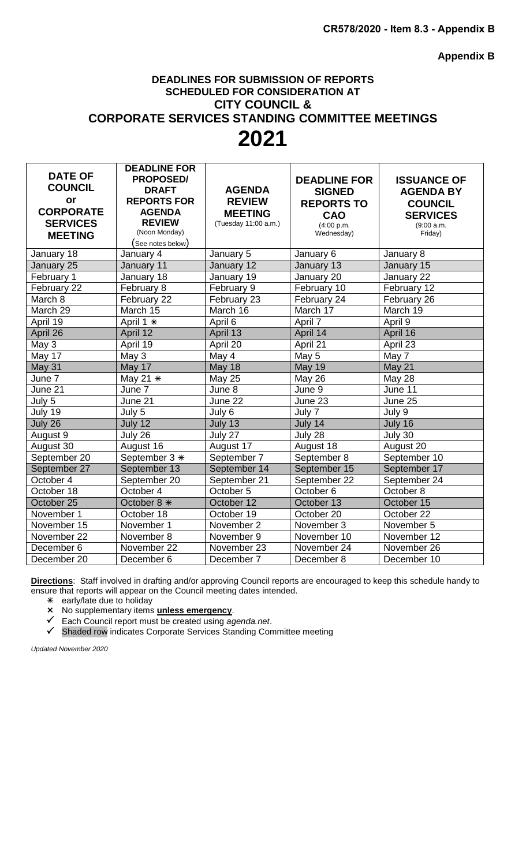**Appendix B**

# **DEADLINES FOR SUBMISSION OF REPORTS SCHEDULED FOR CONSIDERATION AT CITY COUNCIL & CORPORATE SERVICES STANDING COMMITTEE MEETINGS 2021**

| <b>DATE OF</b>   | <b>DEADLINE FOR</b>                 |                                        |                          |                       |
|------------------|-------------------------------------|----------------------------------------|--------------------------|-----------------------|
| <b>COUNCIL</b>   | <b>PROPOSED/</b>                    |                                        | <b>DEADLINE FOR</b>      | <b>ISSUANCE OF</b>    |
| or               | <b>DRAFT</b>                        | <b>AGENDA</b>                          | <b>SIGNED</b>            | <b>AGENDA BY</b>      |
| <b>CORPORATE</b> | <b>REPORTS FOR</b><br><b>AGENDA</b> | <b>REVIEW</b>                          | <b>REPORTS TO</b>        | <b>COUNCIL</b>        |
| <b>SERVICES</b>  | <b>REVIEW</b>                       | <b>MEETING</b><br>(Tuesday 11:00 a.m.) | CAO                      | <b>SERVICES</b>       |
|                  | (Noon Monday)                       |                                        | (4:00 p.m.<br>Wednesday) | (9:00 a.m.<br>Friday) |
| <b>MEETING</b>   | $($ See notes below $)$             |                                        |                          |                       |
| January 18       | January 4                           | January 5                              | January 6                | January 8             |
| January 25       | January 11                          | January 12                             | January 13               | January 15            |
| February 1       | January 18                          | January 19                             | January 20               | January 22            |
| February 22      | February 8                          | February 9                             | February 10              | February 12           |
| March 8          | February 22                         | February 23                            | February 24              | February 26           |
| March 29         | March 15                            | March 16                               | March 17                 | March 19              |
| April 19         | April 1 *                           | April 6                                | April 7                  | April 9               |
| April 26         | April 12                            | April 13                               | April 14                 | April 16              |
| May 3            | April 19                            | April 20                               | April 21                 | April 23              |
| May 17           | May 3                               | May 4                                  | May 5                    | May 7                 |
| May 31           | May 17                              | <b>May 18</b>                          | <b>May 19</b>            | May 21                |
| June 7           | May 21 $*$                          | <b>May 25</b>                          | May 26                   | May 28                |
| June 21          | June 7                              | June 8                                 | June 9                   | June 11               |
| July 5           | June 21                             | June 22                                | June 23                  | June 25               |
| July 19          | July 5                              | July 6                                 | July 7                   | July 9                |
| July 26          | July 12                             | July 13                                | July 14                  | July 16               |
| August 9         | July 26                             | July 27                                | July 28                  | July 30               |
| August 30        | August 16                           | August 17                              | August 18                | August 20             |
| September 20     | September 3 *                       | September 7                            | September 8              | September 10          |
| September 27     | September 13                        | September 14                           | September 15             | September 17          |
| October 4        | September 20                        | September 21                           | September 22             | September 24          |
| October 18       | October 4                           | October 5                              | October 6                | October 8             |
| October 25       | October 8 *                         | October 12                             | October 13               | October 15            |
| November 1       | October 18                          | October 19                             | October 20               | October 22            |
| November 15      | November 1                          | November 2                             | November 3               | November 5            |
| November 22      | November 8                          | November 9                             | November 10              | November 12           |
| December 6       | November 22                         | November 23                            | November 24              | November 26           |
| December 20      | December 6                          | December 7                             | December 8               | December 10           |

**Directions**: Staff involved in drafting and/or approving Council reports are encouraged to keep this schedule handy to ensure that reports will appear on the Council meeting dates intended.

early/late due to holiday

No supplementary items **unless emergency**.

Each Council report must be created using *agenda.net*.

Shaded row indicates Corporate Services Standing Committee meeting

*Updated November 2020*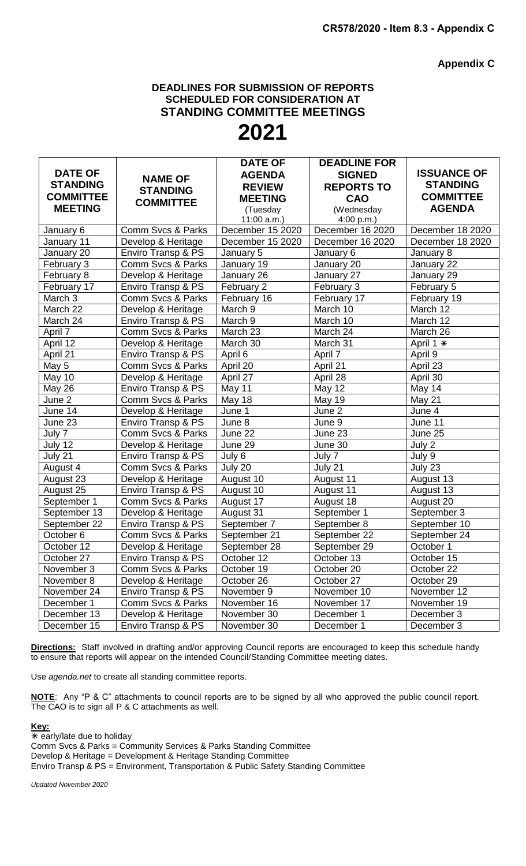**Appendix C**

### **DEADLINES FOR SUBMISSION OF REPORTS SCHEDULED FOR CONSIDERATION AT STANDING COMMITTEE MEETINGS**

# **2021**

|                  |                    | <b>DATE OF</b>   | <b>DEADLINE FOR</b> |                       |
|------------------|--------------------|------------------|---------------------|-----------------------|
| <b>DATE OF</b>   | <b>NAME OF</b>     | <b>AGENDA</b>    | <b>SIGNED</b>       | <b>ISSUANCE OF</b>    |
| <b>STANDING</b>  | <b>STANDING</b>    | <b>REVIEW</b>    | <b>REPORTS TO</b>   | <b>STANDING</b>       |
| <b>COMMITTEE</b> | <b>COMMITTEE</b>   | <b>MEETING</b>   | CAO                 | <b>COMMITTEE</b>      |
| <b>MEETING</b>   |                    | (Tuesday         | (Wednesday          | <b>AGENDA</b>         |
|                  |                    | $11:00$ a.m.)    | 4:00 p.m.)          |                       |
| January 6        | Comm Svcs & Parks  | December 15 2020 | December 16 2020    | December 18 2020      |
| January 11       | Develop & Heritage | December 15 2020 | December 16 2020    | December 18 2020      |
| January 20       | Enviro Transp & PS | January 5        | January 6           | January 8             |
| February 3       | Comm Svcs & Parks  | January 19       | January 20          | January 22            |
| February 8       | Develop & Heritage | January 26       | January 27          | January 29            |
| February 17      | Enviro Transp & PS | February 2       | February 3          | February 5            |
| March 3          | Comm Svcs & Parks  | February 16      | February 17         | February 19           |
| March 22         | Develop & Heritage | March 9          | March 10            | March 12              |
| March 24         | Enviro Transp & PS | March 9          | March 10            | March 12              |
| April 7          | Comm Svcs & Parks  | March 23         | March 24            | March 26              |
| April 12         | Develop & Heritage | March 30         | March 31            | April 1 *             |
| April 21         | Enviro Transp & PS | April 6          | April 7             | April 9               |
| May 5            | Comm Svcs & Parks  | April 20         | April 21            | April 23              |
| May 10           | Develop & Heritage | April 27         | April 28            | April 30              |
| <b>May 26</b>    | Enviro Transp & PS | May 11           | May 12              | May 14                |
| June 2           | Comm Svcs & Parks  | May 18           | May 19              | May 21                |
| June 14          | Develop & Heritage | June 1           | June 2              | June 4                |
| June 23          | Enviro Transp & PS | June 8           | June 9              | June 11               |
| July 7           | Comm Svcs & Parks  | June 22          | June 23             | $\overline{J}$ une 25 |
| July 12          | Develop & Heritage | June 29          | June 30             | July 2                |
| July 21          | Enviro Transp & PS | July 6           | July 7              | July 9                |
| August 4         | Comm Svcs & Parks  | July 20          | July 21             | July 23               |
| August 23        | Develop & Heritage | August 10        | August 11           | August 13             |
| August 25        | Enviro Transp & PS | August 10        | August 11           | August 13             |
| September 1      | Comm Svcs & Parks  | August 17        | August 18           | August 20             |
| September 13     | Develop & Heritage | August 31        | September 1         | September 3           |
| September 22     | Enviro Transp & PS | September 7      | September 8         | September 10          |
| October 6        | Comm Svcs & Parks  | September 21     | September 22        | September 24          |
| October 12       | Develop & Heritage | September 28     | September 29        | October 1             |
| October 27       | Enviro Transp & PS | October 12       | October 13          | October 15            |
| November 3       | Comm Svcs & Parks  | October 19       | October 20          | October 22            |
| November 8       | Develop & Heritage | October 26       | October 27          | October 29            |
| November 24      | Enviro Transp & PS | November 9       | November 10         | November 12           |
| December 1       | Comm Svcs & Parks  | November 16      | November 17         | November 19           |
| December 13      | Develop & Heritage | November 30      | December 1          | December 3            |
| December 15      | Enviro Transp & PS | November 30      | December 1          | December 3            |

**Directions:** Staff involved in drafting and/or approving Council reports are encouraged to keep this schedule handy to ensure that reports will appear on the intended Council/Standing Committee meeting dates.

Use *agenda.net* to create all standing committee reports.

**NOTE**: Any "P & C" attachments to council reports are to be signed by all who approved the public council report. The CAO is to sign all P & C attachments as well.

#### **Key:**

 $\overline{\ast}$  early/late due to holiday Comm Svcs & Parks = Community Services & Parks Standing Committee Develop & Heritage = Development & Heritage Standing Committee

Enviro Transp & PS = Environment, Transportation & Public Safety Standing Committee

*Updated November 2020*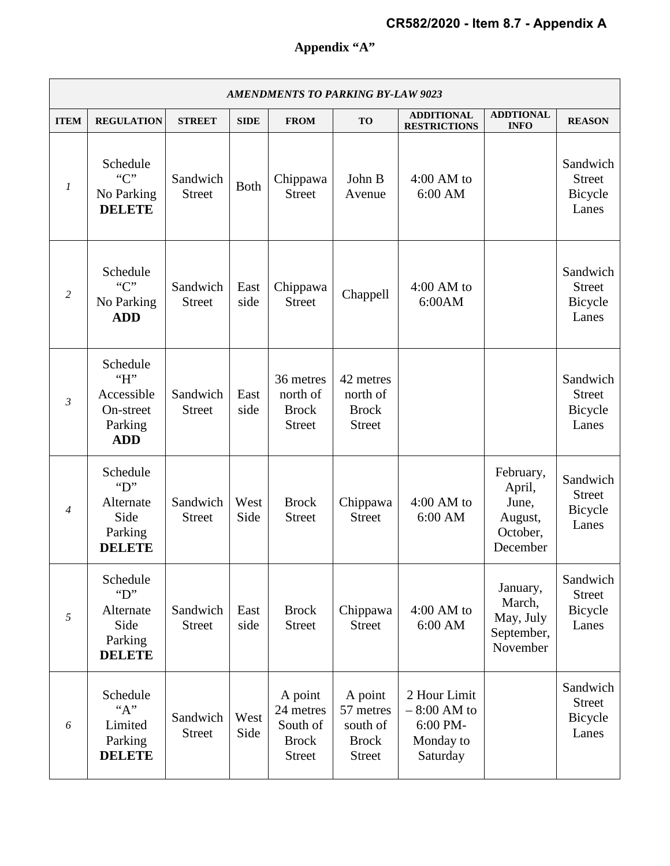# **Appendix "A"**

| <b>AMENDMENTS TO PARKING BY-LAW 9023</b> |                                                                               |                           |              |                                                                   |                                                                   |                                                                    |                                                                 |                                               |  |
|------------------------------------------|-------------------------------------------------------------------------------|---------------------------|--------------|-------------------------------------------------------------------|-------------------------------------------------------------------|--------------------------------------------------------------------|-----------------------------------------------------------------|-----------------------------------------------|--|
| <b>ITEM</b>                              | <b>REGULATION</b>                                                             | <b>STREET</b>             | <b>SIDE</b>  | <b>FROM</b>                                                       | <b>TO</b>                                                         | <b>ADDITIONAL</b><br><b>RESTRICTIONS</b>                           | <b>ADDTIONAL</b><br><b>INFO</b>                                 | <b>REASON</b>                                 |  |
| $\boldsymbol{l}$                         | Schedule<br>C<br>No Parking<br><b>DELETE</b>                                  | Sandwich<br><b>Street</b> | <b>Both</b>  | Chippawa<br><b>Street</b>                                         | John B<br>Avenue                                                  | $4:00$ AM to<br>6:00 AM                                            |                                                                 | Sandwich<br><b>Street</b><br>Bicycle<br>Lanes |  |
| 2                                        | Schedule<br>C<br>No Parking<br><b>ADD</b>                                     | Sandwich<br><b>Street</b> | East<br>side | Chippawa<br><b>Street</b>                                         | Chappell                                                          | $4:00$ AM to<br>6:00AM                                             |                                                                 | Sandwich<br><b>Street</b><br>Bicycle<br>Lanes |  |
| $\mathfrak{Z}$                           | Schedule<br>H<br>Accessible<br>On-street<br>Parking<br><b>ADD</b>             | Sandwich<br><b>Street</b> | East<br>side | 36 metres<br>north of<br><b>Brock</b><br><b>Street</b>            | 42 metres<br>north of<br><b>Brock</b><br><b>Street</b>            |                                                                    |                                                                 | Sandwich<br><b>Street</b><br>Bicycle<br>Lanes |  |
| $\overline{4}$                           | Schedule<br>$\mathbf{``D''}$<br>Alternate<br>Side<br>Parking<br><b>DELETE</b> | Sandwich<br><b>Street</b> | West<br>Side | <b>Brock</b><br><b>Street</b>                                     | Chippawa<br><b>Street</b>                                         | $4:00$ AM to<br>6:00 AM                                            | February,<br>April,<br>June,<br>August,<br>October,<br>December | Sandwich<br><b>Street</b><br>Bicycle<br>Lanes |  |
| 5                                        | Schedule<br>$\mathbf{``D''}$<br>Alternate<br>Side<br>Parking<br><b>DELETE</b> | Sandwich<br><b>Street</b> | East<br>side | <b>Brock</b><br><b>Street</b>                                     | Chippawa<br><b>Street</b>                                         | $4:00$ AM to<br>6:00 AM                                            | January,<br>March,<br>May, July<br>September,<br>November       | Sandwich<br><b>Street</b><br>Bicycle<br>Lanes |  |
| 6                                        | Schedule<br>``A"<br>Limited<br>Parking<br><b>DELETE</b>                       | Sandwich<br><b>Street</b> | West<br>Side | A point<br>24 metres<br>South of<br><b>Brock</b><br><b>Street</b> | A point<br>57 metres<br>south of<br><b>Brock</b><br><b>Street</b> | 2 Hour Limit<br>$-8:00$ AM to<br>6:00 PM-<br>Monday to<br>Saturday |                                                                 | Sandwich<br><b>Street</b><br>Bicycle<br>Lanes |  |